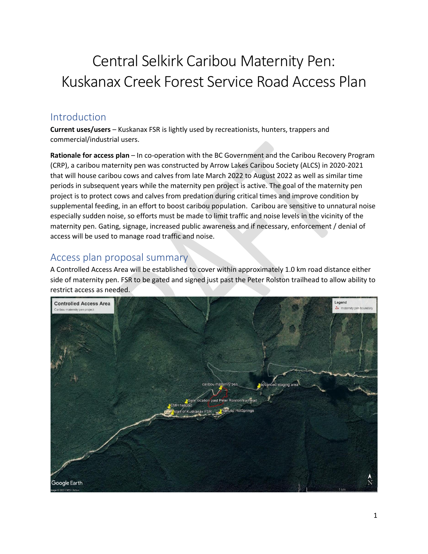# Central Selkirk Caribou Maternity Pen: Kuskanax Creek Forest Service Road Access Plan

# Introduction

**Current uses/users** – Kuskanax FSR is lightly used by recreationists, hunters, trappers and commercial/industrial users.

**Rationale for access plan** – In co-operation with the BC Government and the Caribou Recovery Program (CRP), a caribou maternity pen was constructed by Arrow Lakes Caribou Society (ALCS) in 2020-2021 that will house caribou cows and calves from late March 2022 to August 2022 as well as similar time periods in subsequent years while the maternity pen project is active. The goal of the maternity pen project is to protect cows and calves from predation during critical times and improve condition by supplemental feeding, in an effort to boost caribou population. Caribou are sensitive to unnatural noise especially sudden noise, so efforts must be made to limit traffic and noise levels in the vicinity of the maternity pen. Gating, signage, increased public awareness and if necessary, enforcement / denial of access will be used to manage road traffic and noise.

# Access plan proposal summary

A Controlled Access Area will be established to cover within approximately 1.0 km road distance either side of maternity pen. FSR to be gated and signed just past the Peter Rolston trailhead to allow ability to restrict access as needed.

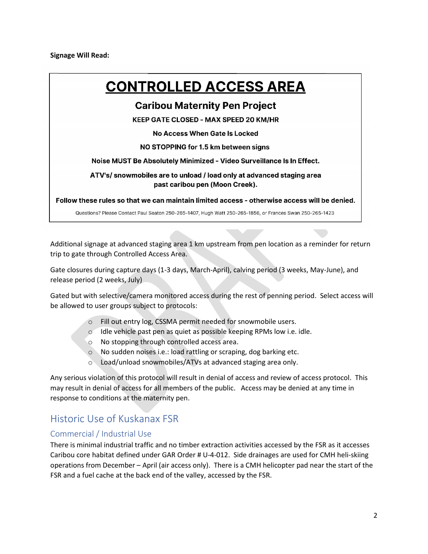**Signage Will Read:**

# **CONTROLLED ACCESS AREA**

## **Caribou Maternity Pen Project**

**KEEP GATE CLOSED - MAX SPEED 20 KM/HR** 

No Access When Gate Is Locked

#### NO STOPPING for 1.5 km between signs

Noise MUST Be Absolutely Minimized - Video Surveillance Is In Effect.

ATV's/s nowmobiles are to unload / load only at advanced staging area past caribou pen (Moon Creek).

Follow these rules so that we can maintain limited access - otherwise access will be denied.

Questions? Please Contact Paul Seaton 250-265-1407, Hugh Watt 250-265-1856, or Frances Swan 250-265-1423

Additional signage at advanced staging area 1 km upstream from pen location as a reminder for return trip to gate through Controlled Access Area.

Gate closures during capture days (1-3 days, March-April), calving period (3 weeks, May-June), and release period (2 weeks, July)

Gated but with selective/camera monitored access during the rest of penning period. Select access will be allowed to user groups subject to protocols:

- o Fill out entry log, CSSMA permit needed for snowmobile users.
- o Idle vehicle past pen as quiet as possible keeping RPMs low i.e. idle.
- o No stopping through controlled access area.
- o No sudden noises i.e.: load rattling or scraping, dog barking etc.
- o Load/unload snowmobiles/ATVs at advanced staging area only.

Any serious violation of this protocol will result in denial of access and review of access protocol. This may result in denial of access for all members of the public. Access may be denied at any time in response to conditions at the maternity pen.

# Historic Use of Kuskanax FSR

## Commercial / Industrial Use

There is minimal industrial traffic and no timber extraction activities accessed by the FSR as it accesses Caribou core habitat defined under GAR Order # U-4-012. Side drainages are used for CMH heli-skiing operations from December – April (air access only). There is a CMH helicopter pad near the start of the FSR and a fuel cache at the back end of the valley, accessed by the FSR.